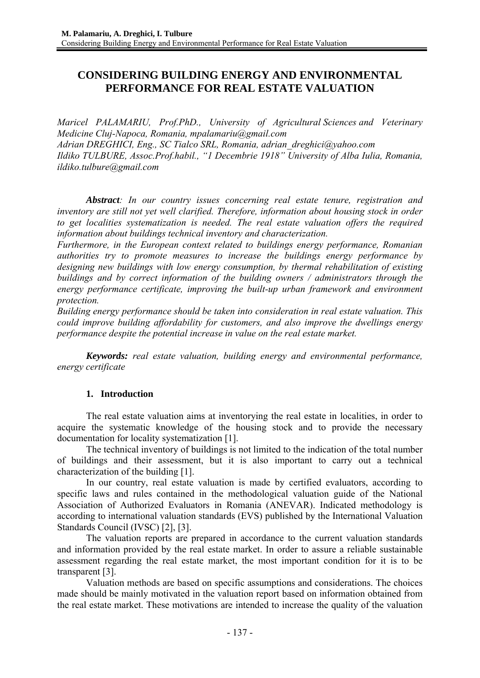# **CONSIDERING BUILDING ENERGY AND ENVIRONMENTAL PERFORMANCE FOR REAL ESTATE VALUATION**

*Maricel PALAMARIU, Prof.PhD., University of Agricultural Sciences and Veterinary Medicine Cluj-Napoca, Romania, mpalamariu@gmail.com Adrian DREGHICI, Eng., SC Tialco SRL, Romania, adrian\_dreghici@yahoo.com Ildiko TULBURE, Assoc.Prof.habil., "1 Decembrie 1918" University of Alba Iulia, Romania, ildiko.tulbure@gmail.com* 

*Abstract: In our country issues concerning real estate tenure, registration and inventory are still not yet well clarified. Therefore, information about housing stock in order to get localities systematization is needed. The real estate valuation offers the required information about buildings technical inventory and characterization.* 

*Furthermore, in the European context related to buildings energy performance, Romanian authorities try to promote measures to increase the buildings energy performance by designing new buildings with low energy consumption, by thermal rehabilitation of existing buildings and by correct information of the building owners / administrators through the energy performance certificate, improving the built-up urban framework and environment protection.* 

*Building energy performance should be taken into consideration in real estate valuation. This could improve building affordability for customers, and also improve the dwellings energy performance despite the potential increase in value on the real estate market.* 

*Keywords: real estate valuation, building energy and environmental performance, energy certificate*

## **1. Introduction**

The real estate valuation aims at inventorying the real estate in localities, in order to acquire the systematic knowledge of the housing stock and to provide the necessary documentation for locality systematization [1].

The technical inventory of buildings is not limited to the indication of the total number of buildings and their assessment, but it is also important to carry out a technical characterization of the building [1].

In our country, real estate valuation is made by certified evaluators, according to specific laws and rules contained in the methodological valuation guide of the National Association of Authorized Evaluators in Romania (ANEVAR). Indicated methodology is according to international valuation standards (EVS) published by the International Valuation Standards Council (IVSC) [2], [3].

The valuation reports are prepared in accordance to the current valuation standards and information provided by the real estate market. In order to assure a reliable sustainable assessment regarding the real estate market, the most important condition for it is to be transparent [3].

Valuation methods are based on specific assumptions and considerations. The choices made should be mainly motivated in the valuation report based on information obtained from the real estate market. These motivations are intended to increase the quality of the valuation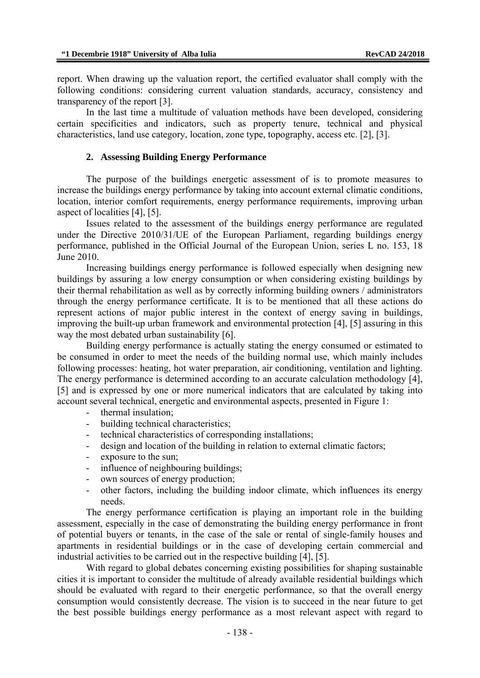report. When drawing up the valuation report, the certified evaluator shall comply with the following conditions: considering current valuation standards, accuracy, consistency and transparency of the report [3].

In the last time a multitude of valuation methods have been developed, considering certain specificities and indicators, such as property tenure, technical and physical characteristics, land use category, location, zone type, topography, access etc. [2], [3].

### **2. Assessing Building Energy Performance**

The purpose of the buildings energetic assessment of is to promote measures to increase the buildings energy performance by taking into account external climatic conditions, location, interior comfort requirements, energy performance requirements, improving urban aspect of localities [4], [5].

Issues related to the assessment of the buildings energy performance are regulated under the Directive 2010/31/UE of the European Parliament, regarding buildings energy performance, published in the Official Journal of the European Union, series L no. 153, 18 June 2010.

Increasing buildings energy performance is followed especially when designing new buildings by assuring a low energy consumption or when considering existing buildings by their thermal rehabilitation as well as by correctly informing building owners / administrators through the energy performance certificate. It is to be mentioned that all these actions do represent actions of major public interest in the context of energy saving in buildings, improving the built-up urban framework and environmental protection [4], [5] assuring in this way the most debated urban sustainability [6].

Building energy performance is actually stating the energy consumed or estimated to be consumed in order to meet the needs of the building normal use, which mainly includes following processes: heating, hot water preparation, air conditioning, ventilation and lighting. The energy performance is determined according to an accurate calculation methodology [4], [5] and is expressed by one or more numerical indicators that are calculated by taking into account several technical, energetic and environmental aspects, presented in Figure 1:

- thermal insulation;
- building technical characteristics;
- technical characteristics of corresponding installations;
- design and location of the building in relation to external climatic factors;
- exposure to the sun;
- influence of neighbouring buildings;
- own sources of energy production;
- other factors, including the building indoor climate, which influences its energy needs.

The energy performance certification is playing an important role in the building assessment, especially in the case of demonstrating the building energy performance in front of potential buyers or tenants, in the case of the sale or rental of single-family houses and apartments in residential buildings or in the case of developing certain commercial and industrial activities to be carried out in the respective building [4], [5].

With regard to global debates concerning existing possibilities for shaping sustainable cities it is important to consider the multitude of already available residential buildings which should be evaluated with regard to their energetic performance, so that the overall energy consumption would consistently decrease. The vision is to succeed in the near future to get the best possible buildings energy performance as a most relevant aspect with regard to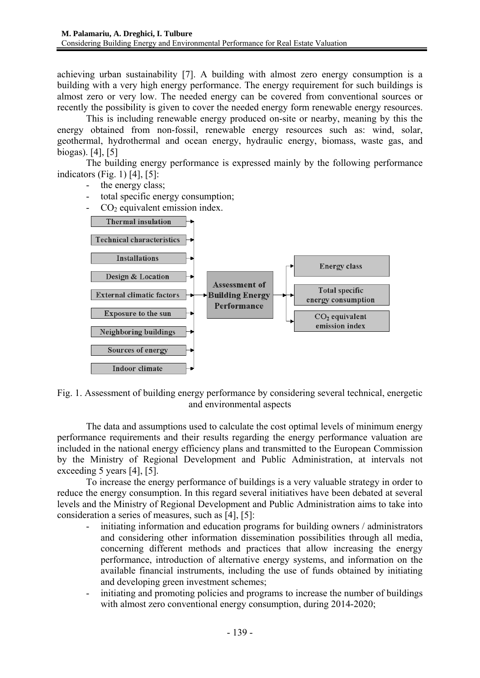achieving urban sustainability [7]. A building with almost zero energy consumption is a building with a very high energy performance. The energy requirement for such buildings is almost zero or very low. The needed energy can be covered from conventional sources or recently the possibility is given to cover the needed energy form renewable energy resources.

 This is including renewable energy produced on-site or nearby, meaning by this the energy obtained from non-fossil, renewable energy resources such as: wind, solar, geothermal, hydrothermal and ocean energy, hydraulic energy, biomass, waste gas, and biogas). [4], [5]

The building energy performance is expressed mainly by the following performance indicators (Fig. 1) [4], [5]:

- the energy class;
- total specific energy consumption;
- $CO<sub>2</sub>$  equivalent emission index.



Fig. 1. Assessment of building energy performance by considering several technical, energetic and environmental aspects

The data and assumptions used to calculate the cost optimal levels of minimum energy performance requirements and their results regarding the energy performance valuation are included in the national energy efficiency plans and transmitted to the European Commission by the Ministry of Regional Development and Public Administration, at intervals not exceeding 5 years [4], [5].

To increase the energy performance of buildings is a very valuable strategy in order to reduce the energy consumption. In this regard several initiatives have been debated at several levels and the Ministry of Regional Development and Public Administration aims to take into consideration a series of measures, such as [4], [5]:

- initiating information and education programs for building owners / administrators and considering other information dissemination possibilities through all media, concerning different methods and practices that allow increasing the energy performance, introduction of alternative energy systems, and information on the available financial instruments, including the use of funds obtained by initiating and developing green investment schemes;
- initiating and promoting policies and programs to increase the number of buildings with almost zero conventional energy consumption, during 2014-2020;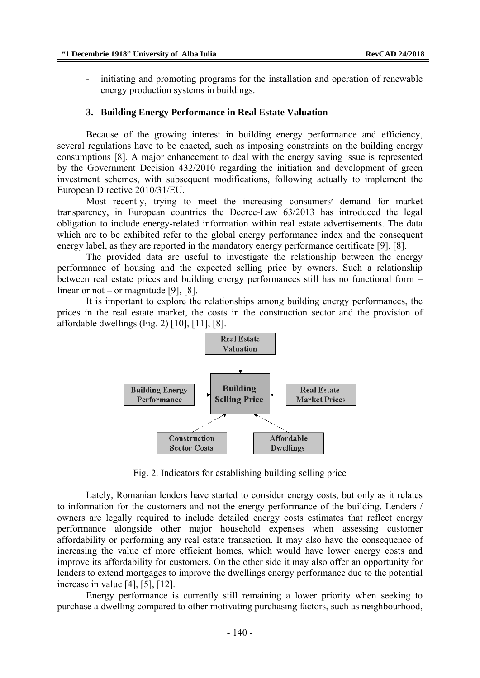initiating and promoting programs for the installation and operation of renewable energy production systems in buildings.

#### **3. Building Energy Performance in Real Estate Valuation**

Because of the growing interest in building energy performance and efficiency, several regulations have to be enacted, such as imposing constraints on the building energy consumptions [8]. A major enhancement to deal with the energy saving issue is represented by the Government Decision 432/2010 regarding the initiation and development of green investment schemes, with subsequent modifications, following actually to implement the European Directive 2010/31/EU.

Most recently, trying to meet the increasing consumers׳ demand for market transparency, in European countries the Decree-Law 63/2013 has introduced the legal obligation to include energy-related information within real estate advertisements. The data which are to be exhibited refer to the global energy performance index and the consequent energy label, as they are reported in the mandatory energy performance certificate [9], [8].

The provided data are useful to investigate the relationship between the energy performance of housing and the expected selling price by owners. Such a relationship between real estate prices and building energy performances still has no functional form – linear or not – or magnitude [9], [8].

It is important to explore the relationships among building energy performances, the prices in the real estate market, the costs in the construction sector and the provision of affordable dwellings (Fig. 2) [10], [11], [8].



Fig. 2. Indicators for establishing building selling price

Lately, Romanian lenders have started to consider energy costs, but only as it relates to information for the customers and not the energy performance of the building. Lenders / owners are legally required to include detailed energy costs estimates that reflect energy performance alongside other major household expenses when assessing customer affordability or performing any real estate transaction. It may also have the consequence of increasing the value of more efficient homes, which would have lower energy costs and improve its affordability for customers. On the other side it may also offer an opportunity for lenders to extend mortgages to improve the dwellings energy performance due to the potential increase in value [4], [5], [12].

Energy performance is currently still remaining a lower priority when seeking to purchase a dwelling compared to other motivating purchasing factors, such as neighbourhood,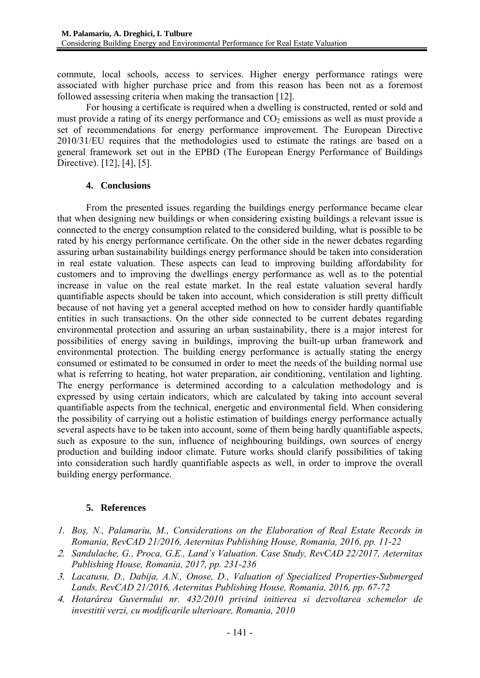commute, local schools, access to services. Higher energy performance ratings were associated with higher purchase price and from this reason has been not as a foremost followed assessing criteria when making the transaction [12].

For housing a certificate is required when a dwelling is constructed, rented or sold and must provide a rating of its energy performance and  $CO<sub>2</sub>$  emissions as well as must provide a set of recommendations for energy performance improvement. The European Directive 2010/31/EU requires that the methodologies used to estimate the ratings are based on a general framework set out in the EPBD (The European Energy Performance of Buildings Directive). [12], [4], [5].

### **4. Conclusions**

From the presented issues regarding the buildings energy performance became clear that when designing new buildings or when considering existing buildings a relevant issue is connected to the energy consumption related to the considered building, what is possible to be rated by his energy performance certificate. On the other side in the newer debates regarding assuring urban sustainability buildings energy performance should be taken into consideration in real estate valuation. These aspects can lead to improving building affordability for customers and to improving the dwellings energy performance as well as to the potential increase in value on the real estate market. In the real estate valuation several hardly quantifiable aspects should be taken into account, which consideration is still pretty difficult because of not having yet a general accepted method on how to consider hardly quantifiable entities in such transactions. On the other side connected to be current debates regarding environmental protection and assuring an urban sustainability, there is a major interest for possibilities of energy saving in buildings, improving the built-up urban framework and environmental protection. The building energy performance is actually stating the energy consumed or estimated to be consumed in order to meet the needs of the building normal use what is referring to heating, hot water preparation, air conditioning, ventilation and lighting. The energy performance is determined according to a calculation methodology and is expressed by using certain indicators, which are calculated by taking into account several quantifiable aspects from the technical, energetic and environmental field. When considering the possibility of carrying out a holistic estimation of buildings energy performance actually several aspects have to be taken into account, some of them being hardly quantifiable aspects, such as exposure to the sun, influence of neighbouring buildings, own sources of energy production and building indoor climate. Future works should clarify possibilities of taking into consideration such hardly quantifiable aspects as well, in order to improve the overall building energy performance.

## **5. References**

- 1. *Boş, N., Palamariu, M., Considerations on the Elaboration of Real Estate Records in Romania, RevCAD 21/2016, Aeternitas Publishing House, Romania, 2016, pp. 11-22*
- 2. *Sandulache, G., Proca, G.E., Land's Valuation. Case Study, RevCAD 22/2017, Aeternitas Publishing House, Romania, 2017, pp. 231-236*
- 3. *Lacatusu, D., Dabija, A.N., Onose, D., Valuation of Specialized Properties-Submerged Lands, RevCAD 21/2016, Aeternitas Publishing House, Romania, 2016, pp. 67-72*
- 4. *Hotarârea Guvernului nr. 432/2010 privind initierea si dezvoltarea schemelor de investitii verzi, cu modificarile ulterioare, Romania, 2010*